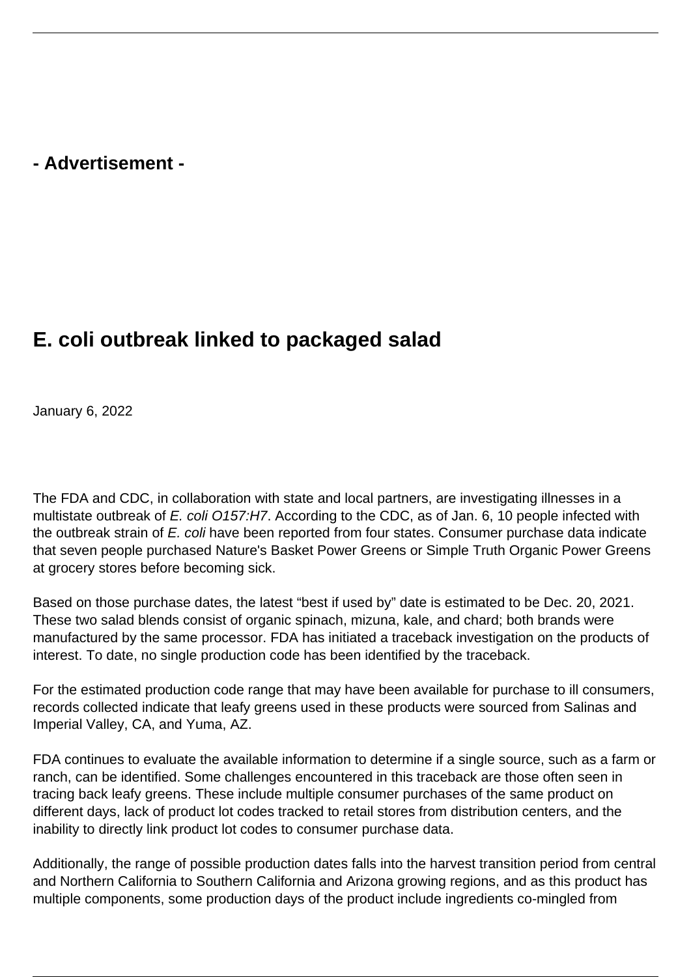## **- Advertisement -**

## **E. coli outbreak linked to packaged salad**

January 6, 2022

The FDA and CDC, in collaboration with state and local partners, are investigating illnesses in a multistate outbreak of E. coli O157:H7. According to the CDC, as of Jan. 6, 10 people infected with the outbreak strain of E. coli have been reported from four states. Consumer purchase data indicate that seven people purchased Nature's Basket Power Greens or Simple Truth Organic Power Greens at grocery stores before becoming sick.

Based on those purchase dates, the latest "best if used by" date is estimated to be Dec. 20, 2021. These two salad blends consist of organic spinach, mizuna, kale, and chard; both brands were manufactured by the same processor. FDA has initiated a traceback investigation on the products of interest. To date, no single production code has been identified by the traceback.

For the estimated production code range that may have been available for purchase to ill consumers, records collected indicate that leafy greens used in these products were sourced from Salinas and Imperial Valley, CA, and Yuma, AZ.

FDA continues to evaluate the available information to determine if a single source, such as a farm or ranch, can be identified. Some challenges encountered in this traceback are those often seen in tracing back leafy greens. These include multiple consumer purchases of the same product on different days, lack of product lot codes tracked to retail stores from distribution centers, and the inability to directly link product lot codes to consumer purchase data.

Additionally, the range of possible production dates falls into the harvest transition period from central and Northern California to Southern California and Arizona growing regions, and as this product has multiple components, some production days of the product include ingredients co-mingled from